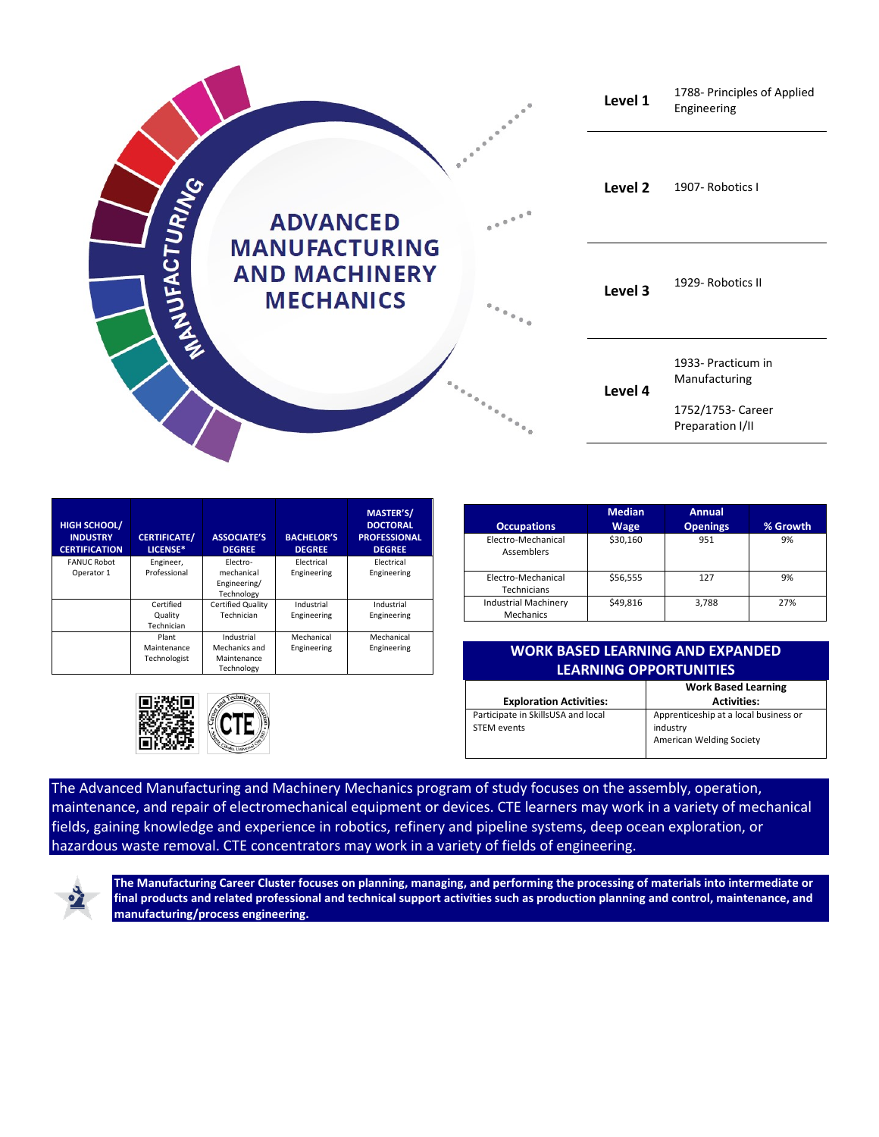

| <b>HIGH SCHOOL/</b><br><b>INDUSTRY</b><br><b>CERTIFICATION</b> | <b>CERTIFICATE/</b><br>LICENSE*      | <b>ASSOCIATE'S</b><br><b>DEGREE</b>                      | <b>BACHELOR'S</b><br><b>DEGREE</b> | <b>MASTER'S/</b><br><b>DOCTORAL</b><br><b>PROFESSIONAL</b><br><b>DEGREE</b> |
|----------------------------------------------------------------|--------------------------------------|----------------------------------------------------------|------------------------------------|-----------------------------------------------------------------------------|
| <b>FANUC Robot</b><br>Operator 1                               | Engineer,<br>Professional            | Electro-<br>mechanical<br>Engineering/<br>Technology     | Electrical<br>Engineering          | Electrical<br>Engineering                                                   |
|                                                                | Certified<br>Quality<br>Technician   | Certified Quality<br>Technician                          | Industrial<br>Engineering          | Industrial<br>Engineering                                                   |
|                                                                | Plant<br>Maintenance<br>Technologist | Industrial<br>Mechanics and<br>Maintenance<br>Technology | Mechanical<br>Engineering          | Mechanical<br>Engineering                                                   |



| <b>Occupations</b>                       | <b>Median</b><br>Wage | Annual<br><b>Openings</b> | % Growth |
|------------------------------------------|-----------------------|---------------------------|----------|
| Electro-Mechanical<br><b>Assemblers</b>  | \$30,160              | 951                       | 9%       |
| Electro-Mechanical<br>Technicians        | \$56,555              | 127                       | 9%       |
| <b>Industrial Machinery</b><br>Mechanics | \$49,816              | 3,788                     | 27%      |

## Engineering **WORK BASED LEARNING AND EXPANDED LEARNING OPPORTUNITIES**

|                                                   | <b>Work Based Learning</b>                                                    |
|---------------------------------------------------|-------------------------------------------------------------------------------|
| <b>Exploration Activities:</b>                    | <b>Activities:</b>                                                            |
| Participate in SkillsUSA and local<br>STEM events | Apprenticeship at a local business or<br>industry<br>American Welding Society |

The Advanced Manufacturing and Machinery Mechanics program of study focuses on the assembly, operation, maintenance, and repair of electromechanical equipment or devices. CTE learners may work in a variety of mechanical fields, gaining knowledge and experience in robotics, refinery and pipeline systems, deep ocean exploration, or hazardous waste removal. CTE concentrators may work in a variety of fields of engineering.



**The Manufacturing Career Cluster focuses on planning, managing, and performing the processing of materials into intermediate or final products and related professional and technical support activities such as production planning and control, maintenance, and manufacturing/process engineering.**